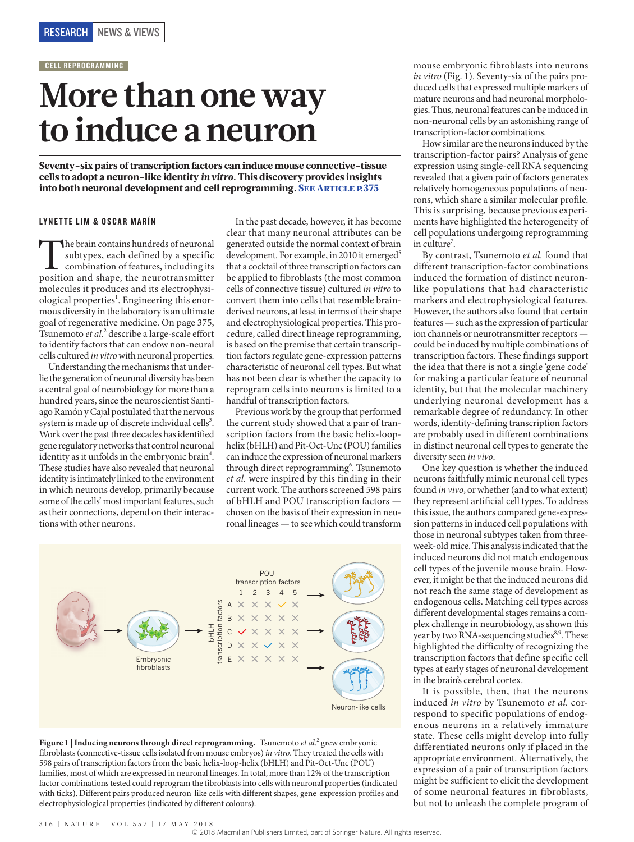#### CELL REPROGRAMMING

# **More than one way to induce a neuron**

Seventy-six pairs of transcription factors can induce mouse connective-tissue cells to adopt a neuron-like identity *in vitro*. This discovery provides insights into both neuronal development and cell reprogramming. SEE ARTICLE P.375

## LYNETTE LIM & OSCAR MARÍN

The brain contains hundreds of neuronal<br>subtypes, each defined by a specific<br>combination of features, including its<br>position and shape, the neurotransmitter subtypes, each defined by a specific combination of features, including its molecules it produces and its electrophysiological properties<sup>1</sup>. Engineering this enormous diversity in the laboratory is an ultimate goal of regenerative medicine. On page 375, Tsunemoto *et al.*<sup>2</sup> describe a large-scale effort to identify factors that can endow non-neural cells cultured *in vitro* with neuronal properties.

Understanding the mechanisms that underlie the generation of neuronal diversity has been a central goal of neurobiology for more than a hundred years, since the neuroscientist Santiago Ramón y Cajal postulated that the nervous system is made up of discrete individual cells<sup>3</sup>. Work over the past three decades has identified gene regulatory networks that control neuronal identity as it unfolds in the embryonic brain<sup>4</sup>. These studies have also revealed that neuronal identity is intimately linked to the environment in which neurons develop, primarily because some of the cells' most important features, such as their connections, depend on their interactions with other neurons.

In the past decade, however, it has become clear that many neuronal attributes can be generated outside the normal context of brain development. For example, in 2010 it emerged<sup>5</sup> that a cocktail of three transcription factors can be applied to fibroblasts (the most common cells of connective tissue) cultured *in vitro* to convert them into cells that resemble brainderived neurons, at least in terms of their shape and electrophysiological properties. This procedure, called direct lineage reprogramming, is based on the premise that certain transcription factors regulate gene-expression patterns characteristic of neuronal cell types. But what has not been clear is whether the capacity to reprogram cells into neurons is limited to a handful of transcription factors.

Previous work by the group that performed the current study showed that a pair of transcription factors from the basic helix-loophelix (bHLH) and Pit-Oct-Unc (POU) families can induce the expression of neuronal markers through direct reprogramming<sup>6</sup>. Tsunemoto *et al.* were inspired by this finding in their current work. The authors screened 598 pairs of bHLH and POU transcription factors chosen on the basis of their expression in neuronal lineages — to see which could transform



Figure 1 | Inducing neurons through direct reprogramming. Tsunemoto et al.<sup>2</sup> grew embryonic fibroblasts (connective-tissue cells isolated from mouse embryos) *in vitro*. They treated the cells with 598 pairs of transcription factors from the basic helix-loop-helix (bHLH) and Pit-Oct-Unc (POU) families, most of which are expressed in neuronal lineages. In total, more than 12% of the transcriptionfactor combinations tested could reprogram the fibroblasts into cells with neuronal properties (indicated with ticks). Different pairs produced neuron-like cells with different shapes, gene-expression profiles and electrophysiological properties (indicated by different colours).

mouse embryonic fibroblasts into neurons *in vitro* (Fig. 1). Seventy-six of the pairs produced cells that expressed multiple markers of mature neurons and had neuronal morphologies. Thus, neuronal features can be induced in non-neuronal cells by an astonishing range of transcription-factor combinations.

How similar are the neurons induced by the transcription-factor pairs? Analysis of gene expression using single-cell RNA sequencing revealed that a given pair of factors generates relatively homogeneous populations of neurons, which share a similar molecular profile. This is surprising, because previous experiments have highlighted the heterogeneity of cell populations undergoing reprogramming in culture<sup>7</sup>.

By contrast, Tsunemoto *et al.* found that different transcription-factor combinations induced the formation of distinct neuronlike populations that had characteristic markers and electrophysiological features. However, the authors also found that certain features — such as the expression of particular ion channels or neurotransmitter receptors could be induced by multiple combinations of transcription factors. These findings support the idea that there is not a single 'gene code' for making a particular feature of neuronal identity, but that the molecular machinery underlying neuronal development has a remarkable degree of redundancy. In other words, identity-defining transcription factors are probably used in different combinations in distinct neuronal cell types to generate the diversity seen *in vivo*.

One key question is whether the induced neurons faithfully mimic neuronal cell types found *in vivo*, or whether (and to what extent) they represent artificial cell types. To address this issue, the authors compared gene-expression patterns in induced cell populations with those in neuronal subtypes taken from threeweek-old mice. This analysis indicated that the induced neurons did not match endogenous cell types of the juvenile mouse brain. However, it might be that the induced neurons did not reach the same stage of development as endogenous cells. Matching cell types across different developmental stages remains a complex challenge in neurobiology, as shown this year by two RNA-sequencing studies<sup>8,9</sup>. These highlighted the difficulty of recognizing the transcription factors that define specific cell types at early stages of neuronal development in the brain's cerebral cortex.

It is possible, then, that the neurons induced *in vitro* by Tsunemoto *et al.* correspond to specific populations of endogenous neurons in a relatively immature state. These cells might develop into fully differentiated neurons only if placed in the appropriate environment. Alternatively, the expression of a pair of transcription factors might be sufficient to elicit the development of some neuronal features in fibroblasts, but not to unleash the complete program of